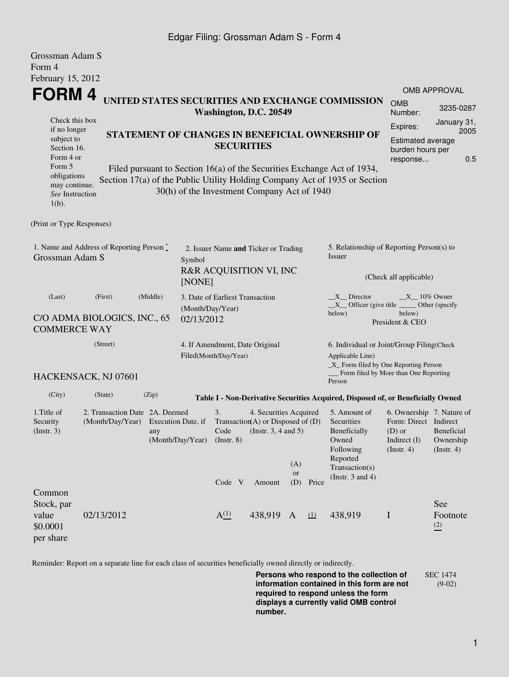## Edgar Filing: Grossman Adam S - Form 4

| Grossman Adam S<br>Form 4                                                |                                                                            |                                                                                                                                                                                                      |                                                                                     |                  |           |                                                                                                                    |                                                                                                                                                    |                                                                                                    |                                                    |                                                                                             |  |
|--------------------------------------------------------------------------|----------------------------------------------------------------------------|------------------------------------------------------------------------------------------------------------------------------------------------------------------------------------------------------|-------------------------------------------------------------------------------------|------------------|-----------|--------------------------------------------------------------------------------------------------------------------|----------------------------------------------------------------------------------------------------------------------------------------------------|----------------------------------------------------------------------------------------------------|----------------------------------------------------|---------------------------------------------------------------------------------------------|--|
| February 15, 2012                                                        |                                                                            |                                                                                                                                                                                                      |                                                                                     |                  |           |                                                                                                                    |                                                                                                                                                    |                                                                                                    |                                                    |                                                                                             |  |
| FORM 4                                                                   |                                                                            |                                                                                                                                                                                                      |                                                                                     |                  |           |                                                                                                                    |                                                                                                                                                    |                                                                                                    |                                                    | <b>OMB APPROVAL</b>                                                                         |  |
|                                                                          | UNITED STATES SECURITIES AND EXCHANGE COMMISSION<br>Washington, D.C. 20549 |                                                                                                                                                                                                      |                                                                                     |                  |           |                                                                                                                    |                                                                                                                                                    |                                                                                                    | <b>OMB</b><br>Number:                              | 3235-0287                                                                                   |  |
| Check this box<br>if no longer<br>subject to<br>Section 16.<br>Form 4 or |                                                                            | STATEMENT OF CHANGES IN BENEFICIAL OWNERSHIP OF<br><b>SECURITIES</b>                                                                                                                                 |                                                                                     |                  |           |                                                                                                                    |                                                                                                                                                    |                                                                                                    |                                                    | January 31,<br>Expires:<br>2005<br>Estimated average<br>burden hours per<br>0.5<br>response |  |
| Form 5<br>obligations<br>may continue.<br>See Instruction<br>$1(b)$ .    |                                                                            | Filed pursuant to Section 16(a) of the Securities Exchange Act of 1934,<br>Section 17(a) of the Public Utility Holding Company Act of 1935 or Section<br>30(h) of the Investment Company Act of 1940 |                                                                                     |                  |           |                                                                                                                    |                                                                                                                                                    |                                                                                                    |                                                    |                                                                                             |  |
| (Print or Type Responses)                                                |                                                                            |                                                                                                                                                                                                      |                                                                                     |                  |           |                                                                                                                    |                                                                                                                                                    |                                                                                                    |                                                    |                                                                                             |  |
| 1. Name and Address of Reporting Person *<br>Grossman Adam S             |                                                                            |                                                                                                                                                                                                      | 2. Issuer Name and Ticker or Trading<br>Symbol<br>R&R ACQUISITION VI, INC<br>[NONE] |                  |           |                                                                                                                    |                                                                                                                                                    | 5. Relationship of Reporting Person(s) to<br>Issuer<br>(Check all applicable)                      |                                                    |                                                                                             |  |
|                                                                          |                                                                            |                                                                                                                                                                                                      |                                                                                     |                  |           |                                                                                                                    |                                                                                                                                                    |                                                                                                    |                                                    |                                                                                             |  |
| (Last)<br>C/O ADMA BIOLOGICS, INC., 65<br><b>COMMERCE WAY</b>            | 3. Date of Earliest Transaction<br>(Month/Day/Year)<br>02/13/2012          |                                                                                                                                                                                                      |                                                                                     |                  |           | $X_{10\%}$ Owner<br>X Director<br>$X$ Officer (give title<br>Other (specify<br>below)<br>below)<br>President & CEO |                                                                                                                                                    |                                                                                                    |                                                    |                                                                                             |  |
|                                                                          | (Street)                                                                   |                                                                                                                                                                                                      | 4. If Amendment, Date Original<br>Filed(Month/Day/Year)                             |                  |           |                                                                                                                    | 6. Individual or Joint/Group Filing(Check<br>Applicable Line)<br>$\_X$ Form filed by One Reporting Person<br>Form filed by More than One Reporting |                                                                                                    |                                                    |                                                                                             |  |
|                                                                          | HACKENSACK, NJ 07601                                                       |                                                                                                                                                                                                      |                                                                                     |                  |           |                                                                                                                    |                                                                                                                                                    | Person                                                                                             |                                                    |                                                                                             |  |
| (City)                                                                   | (State)                                                                    | (Zip)                                                                                                                                                                                                |                                                                                     |                  |           |                                                                                                                    |                                                                                                                                                    | Table I - Non-Derivative Securities Acquired, Disposed of, or Beneficially Owned                   |                                                    |                                                                                             |  |
| 1. Title of<br>Security<br>(Insert. 3)                                   | 2. Transaction Date 2A. Deemed<br>(Month/Day/Year)                         | 3.<br>4. Securities Acquired<br>Transaction(A) or Disposed of $(D)$<br>Execution Date, if<br>Code<br>(Instr. $3, 4$ and $5$ )<br>(Month/Day/Year)<br>$($ Instr. 8 $)$                                |                                                                                     |                  |           |                                                                                                                    | 5. Amount of<br>Securities<br>Beneficially<br>Owned<br>Following                                                                                   | 6. Ownership 7. Nature of<br>Form: Direct Indirect<br>$(D)$ or<br>Indirect (I)<br>$($ Instr. 4 $)$ | <b>Beneficial</b><br>Ownership<br>$($ Instr. 4 $)$ |                                                                                             |  |
|                                                                          |                                                                            |                                                                                                                                                                                                      |                                                                                     | Code V           | Amount    | (A)<br><b>or</b><br>(D)                                                                                            | Price                                                                                                                                              | Reported<br>Transaction(s)<br>(Instr. $3$ and $4$ )                                                |                                                    |                                                                                             |  |
| Common<br>Stock, par<br>value<br>\$0.0001<br>per share                   | 02/13/2012                                                                 |                                                                                                                                                                                                      |                                                                                     | A <sup>(1)</sup> | 438,919 A |                                                                                                                    | $\Omega$                                                                                                                                           | 438,919                                                                                            | I                                                  | See<br>Footnote<br>(2)                                                                      |  |

Reminder: Report on a separate line for each class of securities beneficially owned directly or indirectly.

**Persons who respond to the collection of information contained in this form are not required to respond unless the form displays a currently valid OMB control number.** SEC 1474 (9-02)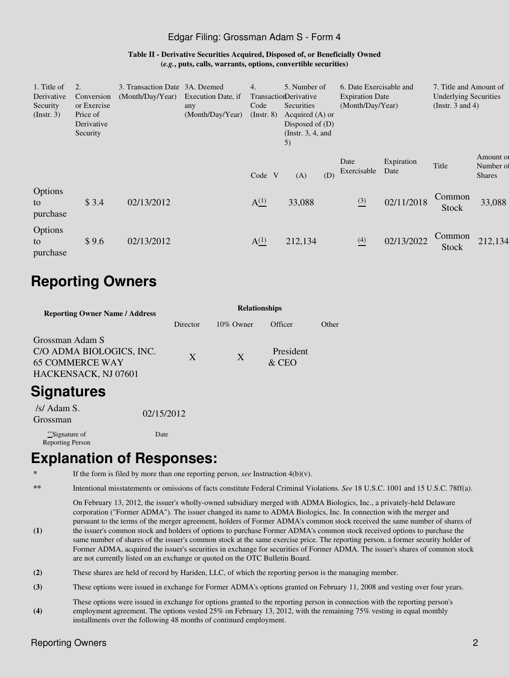#### Edgar Filing: Grossman Adam S - Form 4

#### **Table II - Derivative Securities Acquired, Disposed of, or Beneficially Owned (***e.g.***, puts, calls, warrants, options, convertible securities)**

| 1. Title of<br>Derivative<br>Security<br>$($ Instr. 3 $)$ | Conversion<br>or Exercise<br>Price of<br>Derivative<br>Security | 3. Transaction Date 3A. Deemed<br>(Month/Day/Year) | Execution Date, if<br>any<br>(Month/Day/Year) | 4.<br>Code<br>$($ Instr. $8)$ | 5. Number of<br>TransactionDerivative<br>Securities<br>Acquired $(A)$ or<br>Disposed of $(D)$<br>(Instr. $3, 4$ , and<br>5) | 6. Date Exercisable and<br><b>Expiration Date</b><br>(Month/Day/Year) |                    | 7. Title and Amount of<br><b>Underlying Securities</b><br>(Instr. 3 and 4) |                                         |
|-----------------------------------------------------------|-----------------------------------------------------------------|----------------------------------------------------|-----------------------------------------------|-------------------------------|-----------------------------------------------------------------------------------------------------------------------------|-----------------------------------------------------------------------|--------------------|----------------------------------------------------------------------------|-----------------------------------------|
|                                                           |                                                                 |                                                    |                                               | Code V                        | (D)<br>(A)                                                                                                                  | Date<br>Exercisable                                                   | Expiration<br>Date | Title                                                                      | Amount of<br>Number of<br><b>Shares</b> |
| Options<br>to<br>purchase                                 | \$3.4                                                           | 02/13/2012                                         |                                               | $A^{(1)}_{-}$                 | 33,088                                                                                                                      | $\frac{(3)}{2}$                                                       | 02/11/2018         | Common<br><b>Stock</b>                                                     | 33,088                                  |
| Options<br>to<br>purchase                                 | \$9.6                                                           | 02/13/2012                                         |                                               | $A^{(1)}_{-}$                 | 212,134                                                                                                                     | $\frac{(4)}{2}$                                                       | 02/13/2022         | Common<br><b>Stock</b>                                                     | 212,134                                 |

# **Reporting Owners**

| <b>Reporting Owner Name / Address</b>                                                         | <b>Relationships</b> |              |                      |       |  |  |  |  |
|-----------------------------------------------------------------------------------------------|----------------------|--------------|----------------------|-------|--|--|--|--|
|                                                                                               | Director             | $10\%$ Owner | Officer              | Other |  |  |  |  |
| Grossman Adam S<br>C/O ADMA BIOLOGICS, INC.<br><b>65 COMMERCE WAY</b><br>HACKENSACK, NJ 07601 | X                    | X            | President<br>$&$ CEO |       |  |  |  |  |
| <b>Signatures</b>                                                                             |                      |              |                      |       |  |  |  |  |
| /s/ Adam S.<br>Grossman                                                                       | 02/15/2012           |              |                      |       |  |  |  |  |

\*\*Signature of Reporting Person

## **Explanation of Responses:**

If the form is filed by more than one reporting person, *see* Instruction  $4(b)(v)$ .

Date

**\*\*** Intentional misstatements or omissions of facts constitute Federal Criminal Violations. *See* 18 U.S.C. 1001 and 15 U.S.C. 78ff(a).

On February 13, 2012, the issuer's wholly-owned subsidiary merged with ADMA Biologics, Inc., a privately-held Delaware corporation ("Former ADMA"). The issuer changed its name to ADMA Biologics, Inc. In connection with the merger and pursuant to the terms of the merger agreement, holders of Former ADMA's common stock received the same number of shares of

- **(1)** the issuer's common stock and holders of options to purchase Former ADMA's common stock received options to purchase the same number of shares of the issuer's common stock at the same exercise price. The reporting person, a former security holder of Former ADMA, acquired the issuer's securities in exchange for securities of Former ADMA. The issuer's shares of common stock are not currently listed on an exchange or quoted on the OTC Bulletin Board.
- **(2)** These shares are held of record by Hariden, LLC, of which the reporting person is the managing member.
- **(3)** These options were issued in exchange for Former ADMA's options granted on February 11, 2008 and vesting over four years.
- **(4)** These options were issued in exchange for options granted to the reporting person in connection with the reporting person's employment agreement. The options vested 25% on February 13, 2012, with the remaining 75% vesting in equal monthly installments over the following 48 months of continued employment.